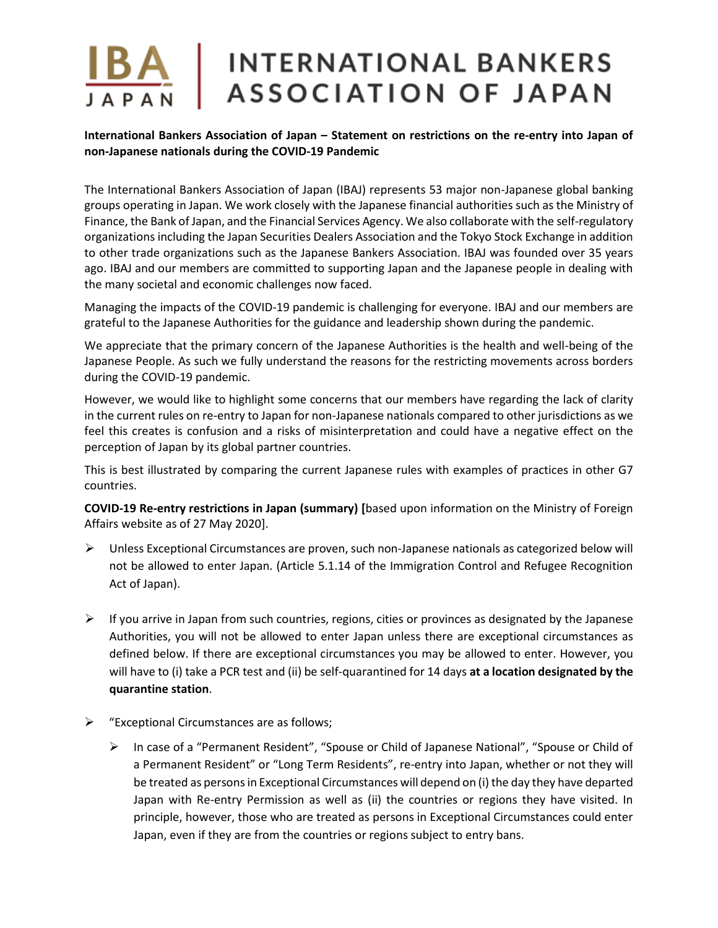#### **International Bankers Association of Japan – Statement on restrictions on the re-entry into Japan of non-Japanese nationals during the COVID-19 Pandemic**

The International Bankers Association of Japan (IBAJ) represents 53 major non-Japanese global banking groups operating in Japan. We work closely with the Japanese financial authorities such as the Ministry of Finance, the Bank of Japan, and the Financial Services Agency. We also collaborate with the self-regulatory organizations including the Japan Securities Dealers Association and the Tokyo Stock Exchange in addition to other trade organizations such as the Japanese Bankers Association. IBAJ was founded over 35 years ago. IBAJ and our members are committed to supporting Japan and the Japanese people in dealing with the many societal and economic challenges now faced.

Managing the impacts of the COVID-19 pandemic is challenging for everyone. IBAJ and our members are grateful to the Japanese Authorities for the guidance and leadership shown during the pandemic.

We appreciate that the primary concern of the Japanese Authorities is the health and well-being of the Japanese People. As such we fully understand the reasons for the restricting movements across borders during the COVID-19 pandemic.

However, we would like to highlight some concerns that our members have regarding the lack of clarity in the current rules on re-entry to Japan for non-Japanese nationals compared to other jurisdictions as we feel this creates is confusion and a risks of misinterpretation and could have a negative effect on the perception of Japan by its global partner countries.

This is best illustrated by comparing the current Japanese rules with examples of practices in other G7 countries.

**COVID-19 Re-entry restrictions in Japan (summary) [**based upon information on the Ministry of Foreign Affairs website as of 27 May 2020].

- ➢ Unless Exceptional Circumstances are proven, such non-Japanese nationals as categorized below will not be allowed to enter Japan. (Article 5.1.14 of the Immigration Control and Refugee Recognition Act of Japan).
- $\triangleright$  If you arrive in Japan from such countries, regions, cities or provinces as designated by the Japanese Authorities, you will not be allowed to enter Japan unless there are exceptional circumstances as defined below. If there are exceptional circumstances you may be allowed to enter. However, you will have to (i) take a PCR test and (ii) be self-quarantined for 14 days **at a location designated by the quarantine station**.
- ➢ "Exceptional Circumstances are as follows;
	- ➢ In case of a "Permanent Resident", "Spouse or Child of Japanese National", "Spouse or Child of a Permanent Resident" or "Long Term Residents", re-entry into Japan, whether or not they will be treated as persons in Exceptional Circumstances will depend on (i) the day they have departed Japan with Re-entry Permission as well as (ii) the countries or regions they have visited. In principle, however, those who are treated as persons in Exceptional Circumstances could enter Japan, even if they are from the countries or regions subject to entry bans.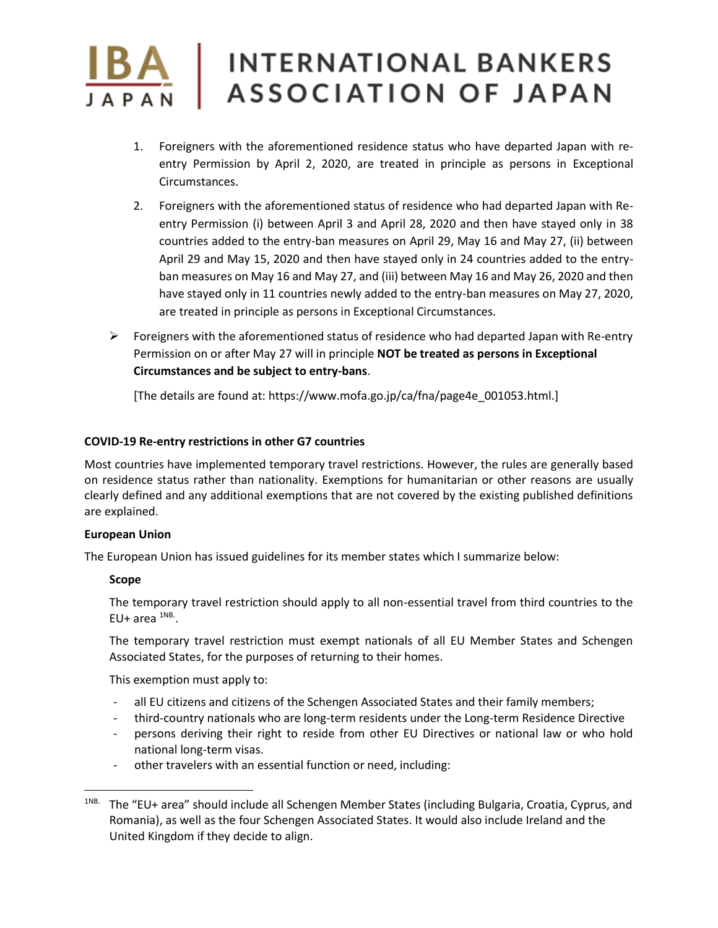- 1. Foreigners with the aforementioned residence status who have departed Japan with reentry Permission by April 2, 2020, are treated in principle as persons in Exceptional Circumstances.
- 2. Foreigners with the aforementioned status of residence who had departed Japan with Reentry Permission (i) between April 3 and April 28, 2020 and then have stayed only in 38 countries added to the entry-ban measures on April 29, May 16 and May 27, (ii) between April 29 and May 15, 2020 and then have stayed only in 24 countries added to the entryban measures on May 16 and May 27, and (iii) between May 16 and May 26, 2020 and then have stayed only in 11 countries newly added to the entry-ban measures on May 27, 2020, are treated in principle as persons in Exceptional Circumstances.
- $\triangleright$  Foreigners with the aforementioned status of residence who had departed Japan with Re-entry Permission on or after May 27 will in principle **NOT be treated as persons in Exceptional Circumstances and be subject to entry-bans**.

[The details are found at: https://www.mofa.go.jp/ca/fna/page4e\_001053.html.]

#### **COVID-19 Re-entry restrictions in other G7 countries**

Most countries have implemented temporary travel restrictions. However, the rules are generally based on residence status rather than nationality. Exemptions for humanitarian or other reasons are usually clearly defined and any additional exemptions that are not covered by the existing published definitions are explained.

#### **European Union**

The European Union has issued guidelines for its member states which I summarize below:

#### **Scope**

The temporary travel restriction should apply to all non-essential travel from third countries to the EU+ area  $^{1NB}$ .

The temporary travel restriction must exempt nationals of all EU Member States and Schengen Associated States, for the purposes of returning to their homes.

This exemption must apply to:

- all EU citizens and citizens of the Schengen Associated States and their family members;
- third-country nationals who are long-term residents under the Long-term Residence Directive
- persons deriving their right to reside from other EU Directives or national law or who hold national long-term visas.
- other travelers with an essential function or need, including:

<sup>1</sup>NB. The "EU+ area" should include all Schengen Member States (including Bulgaria, Croatia, Cyprus, and Romania), as well as the four Schengen Associated States. It would also include Ireland and the United Kingdom if they decide to align.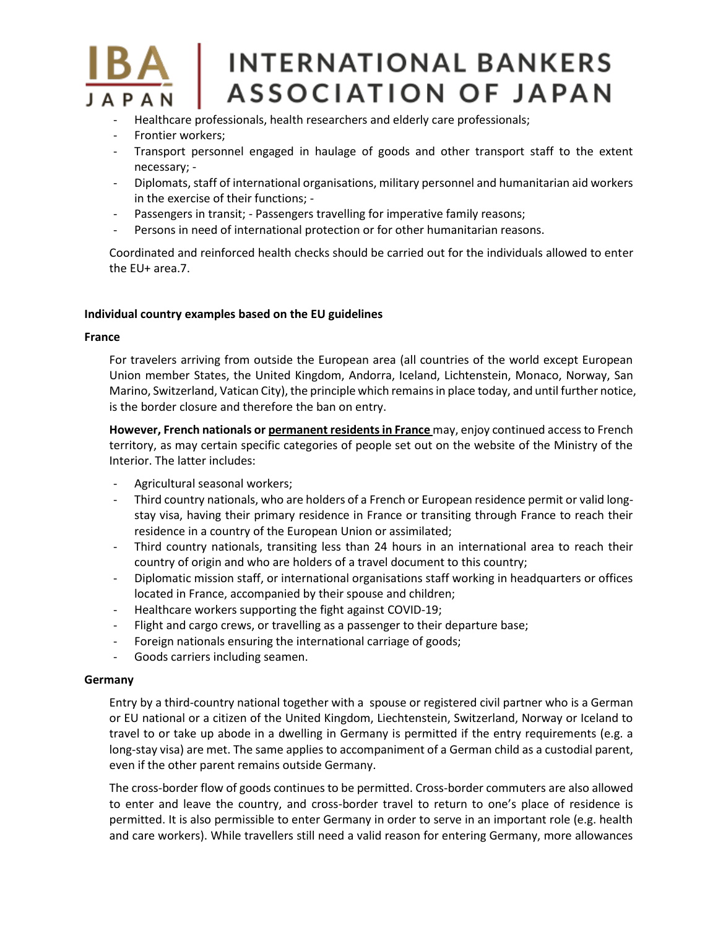- Healthcare professionals, health researchers and elderly care professionals;
- Frontier workers;
- Transport personnel engaged in haulage of goods and other transport staff to the extent necessary; -
- Diplomats, staff of international organisations, military personnel and humanitarian aid workers in the exercise of their functions; -
- Passengers in transit; Passengers travelling for imperative family reasons;
- Persons in need of international protection or for other humanitarian reasons.

Coordinated and reinforced health checks should be carried out for the individuals allowed to enter the EU+ area.7.

#### **Individual country examples based on the EU guidelines**

#### **France**

For travelers arriving from outside the European area (all countries of the world except European Union member States, the United Kingdom, Andorra, Iceland, Lichtenstein, Monaco, Norway, San Marino, Switzerland, Vatican City), the principle which remains in place today, and until further notice, is the border closure and therefore the ban on entry.

**However, French nationals or permanent residents in France** may, enjoy continued access to French territory, as may certain specific categories of people set out on the website of the Ministry of the Interior. The latter includes:

- Agricultural seasonal workers;
- Third country nationals, who are holders of a French or European residence permit or valid longstay visa, having their primary residence in France or transiting through France to reach their residence in a country of the European Union or assimilated;
- Third country nationals, transiting less than 24 hours in an international area to reach their country of origin and who are holders of a travel document to this country;
- Diplomatic mission staff, or international organisations staff working in headquarters or offices located in France, accompanied by their spouse and children;
- Healthcare workers supporting the fight against COVID-19;
- Flight and cargo crews, or travelling as a passenger to their departure base;
- Foreign nationals ensuring the international carriage of goods;
- Goods carriers including seamen.

#### **Germany**

Entry by a third-country national together with a spouse or registered civil partner who is a German or EU national or a citizen of the United Kingdom, Liechtenstein, Switzerland, Norway or Iceland to travel to or take up abode in a dwelling in Germany is permitted if the entry requirements (e.g. a long-stay visa) are met. The same applies to accompaniment of a German child as a custodial parent, even if the other parent remains outside Germany.

The cross-border flow of goods continues to be permitted. Cross-border commuters are also allowed to enter and leave the country, and cross-border travel to return to one's place of residence is permitted. It is also permissible to enter Germany in order to serve in an important role (e.g. health and care workers). While travellers still need a valid reason for entering Germany, more allowances